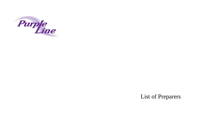

## List of Preparers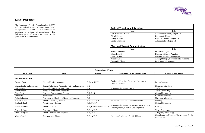## **List of Preparers**

The Maryland Transit Administration (MTA) and the Federal Transit Administration (FTA) have prepared the Purple Line AA/DEIS with the assistance of a team of consultants. The following personnel were instrumental in the preparation of this document.

| <b>Consultant Team</b>      |                                                    |                              |                                                                                             |                                                              |
|-----------------------------|----------------------------------------------------|------------------------------|---------------------------------------------------------------------------------------------|--------------------------------------------------------------|
| Firm / Staff                | <b>Title</b>                                       | <b>Degree</b>                | <b>Professional Certification/Licenses</b>                                                  | <b>AA/DEIS Contribution</b>                                  |
| PB Americas, Inc.           |                                                    |                              |                                                                                             |                                                              |
| <b>Gregory Benz</b>         | <b>Principal Project Manager</b>                   | B.Arch., M.U.P.              | Registered Architect / American Institute of<br><b>Certified Planners</b>                   | <b>Project Manager</b>                                       |
| Chetlur (Balu) Balachandran | Senior Professional Associate, Noise and Acoustics | PhD                          |                                                                                             | Noise and Vibration                                          |
| Jack Boorse                 | <b>Principal Professional Associate</b>            | B.S.                         | Professional Engineer / PLS                                                                 | Traffic                                                      |
| <b>Bill Davidson</b>        | Principal Professional Associate                   | B.S.                         |                                                                                             | <b>Travel Forecasting</b>                                    |
| <b>Chris Dorney</b>         | <b>Assistant Transportation Planner</b>            | B.S., M.S.                   |                                                                                             | <b>Cultural Resources</b>                                    |
| Amy Fanz                    | Archeologist                                       | B.A.                         |                                                                                             | <b>Cultural Resources</b>                                    |
| Dalmain Fenton              | Environmental Engineer, Noise and Acoustics        | B.S.                         |                                                                                             | Noise and Vibration                                          |
| Michael Flood               | <b>Senior Supervising Planner</b>                  | <b>B.A., M.U.E.P</b>         | <b>American Institute of Certified Planners</b>                                             | Planning                                                     |
| Stephanie Foell             | Architectural Historian                            | B.S., M.H.P.                 |                                                                                             | <b>Cultural Resources</b>                                    |
| <b>Robert Harbuck</b>       | Senior Estimator                                   | B.S., Certificate in Finance | Professional Engineer / American Association of<br>Cost Engineers, Certified Cost Engineer: | Costing                                                      |
| <b>Elizabeth Harper</b>     | <b>Engineering Manager</b>                         | B.A., M.U.S.                 |                                                                                             | <b>Travel Forecasting</b>                                    |
| Alice Lovegrove             | Senior Environmental Engineer                      | B.E., M.S.                   |                                                                                             | Air Quality and Energy                                       |
| Monica Meade                | <b>Transportation Planner</b>                      | B.A., M.C.P.                 | <b>American Institute of Certified Planners</b>                                             | Coordinator for Planning, Environment, Public<br>Involvement |



| <b>Federal Transit Administration</b>          |                                        |  |  |
|------------------------------------------------|----------------------------------------|--|--|
| <b>Name</b>                                    | Role                                   |  |  |
| Gail McFadden-Roberts                          | <b>Community Planner, Region III</b>   |  |  |
| Alex Eckmann                                   | <b>Community Planner</b>               |  |  |
| Nancy A. Green                                 | Regional Counsel, Region III           |  |  |
| Letitia Thompson                               | Administrator, Region III              |  |  |
| <b>Maryland Transit Administration</b><br>Role |                                        |  |  |
| <b>Name</b>                                    |                                        |  |  |
|                                                |                                        |  |  |
| Michael Madden                                 | Project Manager                        |  |  |
| Diane Ratcliff                                 | Director, Office of Planning           |  |  |
| Ernie Baisden                                  | Manager, Project Development           |  |  |
| John Newton                                    | Acting Manager, Environmental Planning |  |  |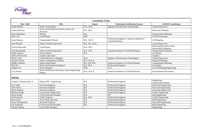

| <b>Consultant Team</b>    |                                                              |                    |                                                                            |                                                        |
|---------------------------|--------------------------------------------------------------|--------------------|----------------------------------------------------------------------------|--------------------------------------------------------|
| Firm / Staff              | <b>Title</b>                                                 | <b>Degree</b>      | <b>Professional Certification/Licenses</b>                                 | <b>AA/DEIS Contribution</b>                            |
| Frank Mikolic             | Senior Archeologist                                          | B.A., M.A.         | Registered Professional Archaeologist                                      | <b>Cultural Resources</b>                              |
| <b>Arthur Morrone</b>     | Senior Environmental Scientist, Noise and<br>Acoustics       | B.S., M.S.         |                                                                            | Noise and Vibration                                    |
| Kyle Nembhard             | Planner                                                      | B.S.               |                                                                            | <b>Transportation Planning</b>                         |
| Dave Ory                  | <b>Lead Planner</b>                                          | PhD                |                                                                            | <b>Travel Forecasting</b>                              |
| <b>Jason Ramsey</b>       | <b>Transportation Planner</b>                                | <b>B.S., M.C.P</b> | Professional Engineer / American Institute of<br><b>Certified Planners</b> | <b>GIS Mapping</b>                                     |
| Joan Randall              | Senior Technical Specialist                                  | B.S., M.L.Arch.    |                                                                            | <b>Cultural Resources</b>                              |
| <b>Allyson Reynolds</b>   | <b>Lead Planner</b>                                          | B.A., M.S.         |                                                                            | Parks and Recreation Areas,<br>Section 4(f) Evaluation |
| Tim Rosenberger           | Senior Technical Specialist                                  | B.A., M.S.         | American Institute of Certified Planners                                   | <b>Transportation Planning</b>                         |
| <b>Eddie Tadross</b>      | <b>Senior Planner</b>                                        | B.A.               |                                                                            | Air Quality                                            |
| Jeffrey Waclawski         | <b>Graphics Specialist</b>                                   |                    |                                                                            | Graphics                                               |
| Henry Ward                | <b>Cultural Resources Manager</b>                            | M.A.               | Register of Professional Archeologists                                     | <b>Cultural Resources</b>                              |
| Jennifer Weeks            | <b>Senior Transportation Planner</b>                         | B.A., M.P.A.       |                                                                            | <b>Financial Planning</b>                              |
| Dudley Whitney            | <b>Supervising Planner</b>                                   | B.S., M.C.R.P.     | <b>American Institute of Certified Planners</b>                            | <b>Transportation Planning</b>                         |
| Mei Wu                    | Senior Environmental Engineer                                | B.S., M.S.         | Professional Engineer                                                      | Air Quality                                            |
| Jinghua Xu                | Senior Engineer                                              | PhD.               | E.I.T                                                                      | Travel Modeling/Engineering                            |
| Lisa Zeimer               | Senior Professional Associate, Senior Supervising<br>Planner | <b>B.A., M.U.P</b> | American Institute of Certified Planners                                   | <b>Environmental Documents</b>                         |
| <b>RK&amp;K</b>           |                                                              |                    |                                                                            |                                                        |
| Joseph A. Romanowski, Jr. | Deputy PM – Engineering                                      | B.S.               | Professional Engineer                                                      | Engineering,<br><b>Construction Impacts</b>            |
| Joe Chalk                 | <b>Structural Engineer</b>                                   | B.S.               | Professional Engineer                                                      | <b>Structural Engineering</b>                          |
| John Farley               | <b>Structural Engineer</b>                                   | B.S.               | Professional Engineer                                                      | <b>Structural Engineering</b>                          |
| <b>Brian Hepting</b>      | <b>Structural Engineer</b>                                   | B.S.               | Professional Engineer                                                      | <b>Structural Engineering</b>                          |
| Barbara Hoage             | Lead Traffic Engineering                                     | B.S.               | Professional Engineer                                                      | <b>Traffic Engineering</b>                             |
| <b>Steve Kolarz</b>       | Civil/Trackwork Designer                                     | B.S.               | <b>EIT</b>                                                                 | Rail Engineering                                       |
| Jeff Kuttesch             | <b>Traffic Engineer</b>                                      | B.S., M.S.         | Professional Engineer                                                      | <b>Traffic Engineering</b>                             |
| Earl Leach                | <b>Track Work Specialist</b>                                 | B.S.               | Professional Engineer                                                      | Rail Engineering                                       |
| <b>Stuart Montgomery</b>  | <b>Structural Engineer</b>                                   | B.S.               | Professional Engineer                                                      | <b>Structural Engineering</b>                          |
| Jon Schneider             | Civil/Trackwork Designer                                     | B.S.               | Professional Engineer                                                      | Rail Engineering                                       |
| <b>Calvin Thomas</b>      | <b>Lead Utility Designer</b>                                 |                    |                                                                            | Engineering                                            |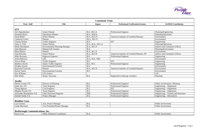| <b>Consultant Team</b>                 |                                       |                     |                                                 |                                        |
|----------------------------------------|---------------------------------------|---------------------|-------------------------------------------------|----------------------------------------|
| Firm / Staff                           | <b>Title</b>                          | <b>Degree</b>       | <b>Professional Certification/Licenses</b>      | <b>AA/DEIS Contribution</b>            |
| <b>STV</b>                             |                                       |                     |                                                 |                                        |
| Joel Oppenheimer                       | Senior Planner                        | <b>B.S., M.E.A.</b> | Professional Engineer                           | Planning/Engineering                   |
| Jonathan Boyer                         | <b>Operations Planner</b>             | <b>B.A., M.B.A.</b> |                                                 | Planning/Operations                    |
| Sarah Butler                           | <b>Senior Planner</b>                 | B.A., M.U.P.        | <b>American Institute of Certified Planners</b> | Environment                            |
| <b>Catherine Corley</b>                | Planner                               | M.A., M.U.P.        |                                                 | Environment                            |
| <b>Charles Driban</b>                  | <b>Traffic Engineer</b>               | B.S.                | <b>EIT</b>                                      | Engineering                            |
| James S. Fritz                         | <b>Senior Planner</b>                 | B.A., M.A., M.G.A.  |                                                 | Planning/Operations                    |
| Molly MacQueen                         | <b>Environmental Planning Manager</b> | B.A., M.C.P.        |                                                 | <b>Indirect and Cumulative Effects</b> |
| John Manzoni                           | Planner/GIS Analyst                   | B.A.                |                                                 | Planning/Environment                   |
| Mara Marino                            | Planner                               | <b>B.A., M.C.P.</b> |                                                 | Environment                            |
| Josh Moreinis                          | <b>Senior Planner</b>                 | B.A., M.U.P.        | American Institute of Certified Planners, PP    | <b>Indirect and Cumulative Effects</b> |
| <b>Mike Rectanus</b>                   | <b>Highway Engineer</b>               | B.S.                | Professional Engineer                           | Engineering                            |
| Iroda Rubinova                         | <b>GIS</b>                            | B.A., M.S., PhD     |                                                 | Environment                            |
| <b>Steven Sharp</b>                    | <b>Traffic Engineer</b>               | B.S.                | <b>EIT</b>                                      | Engineering                            |
| <b>Matthew Storck</b>                  | Senior Traffic Engineer               | B.S., M.S.          | Professional Engineer                           | Engineering                            |
| Douglas Swann                          | <b>Environmental Scientist</b>        | B.S.                |                                                 | Environment                            |
| <b>Raymond Tomczak</b>                 | Planner                               | B.A., M.U.P.        | American Institute of Certified Planners        | Environment                            |
| Kenon Tutein                           | <b>Environmental Scientist</b>        | B.S.                |                                                 | Environment                            |
| Eric Williams                          | <b>GIS Analyst</b>                    |                     |                                                 | <b>GIS</b>                             |
| Deb Wittle                             | Senior Associate                      | B.S.                | <b>Registered Landscape Architect</b>           | Planning                               |
| <b>Jacobs</b>                          |                                       |                     |                                                 |                                        |
| Harriet Levine, P.E.                   | Director of Planning                  | B.S.                | <b>Professional Engineer</b>                    | Public Involvement / Planning          |
| Jamie Joo, P.E.                        | <b>Track Engineer</b>                 | B.S.                | Professional Engineer                           | Engineering – Alignments               |
| Thang Nguyen                           | Civil Engineer                        | B.S.                | <b>EIT</b>                                      | Engineering – Alignments               |
| Meghan Powell, P.E.                    | <b>Track Engineer</b>                 | B.S.                | Professional Engineer                           | Engineering – Alignments               |
| Alexander Rosenbaum, P.E.              | <b>Chief Structural Engineer</b>      | PhD                 | Professional Engineer                           | Engineering – Tunnels and Structures   |
| Deirdre Smith, P.E.                    | Project Manager                       | <b>B.S.</b>         | Professional Engineer                           | Engineering – Alternatives             |
| <b>Remline Corp.</b>                   |                                       |                     |                                                 |                                        |
| Lyn Gorman                             | <b>Asst. Project Manager</b>          | B.S.                |                                                 | Public Involvement                     |
| Linda Moreland                         | Vice President/Project Manager        | B.S.                |                                                 | Public Involvement                     |
| <b>Rosborough Communications, Inc.</b> |                                       |                     |                                                 |                                        |
| Kacie Levy                             | <b>Public Relations Coordinator</b>   | B.A.                |                                                 | Public Involvement                     |